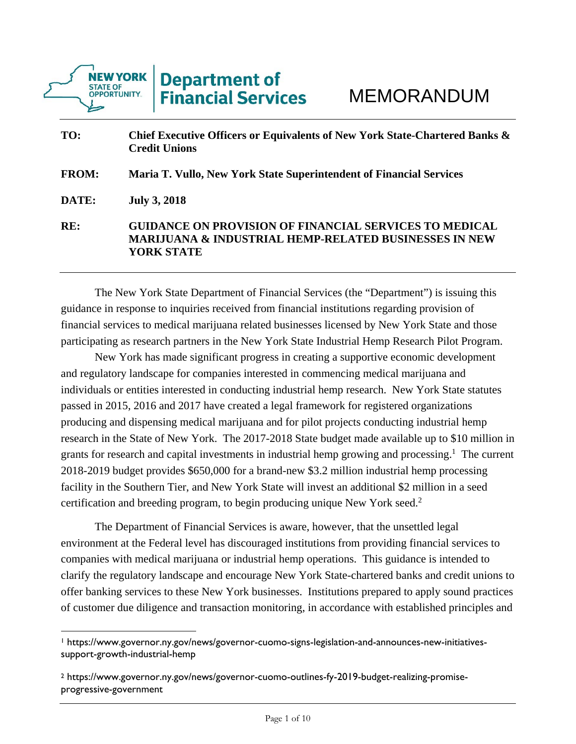

| TO:          | Chief Executive Officers or Equivalents of New York State-Chartered Banks &<br><b>Credit Unions</b>                                             |
|--------------|-------------------------------------------------------------------------------------------------------------------------------------------------|
| <b>FROM:</b> | Maria T. Vullo, New York State Superintendent of Financial Services                                                                             |
| DATE:        | <b>July 3, 2018</b>                                                                                                                             |
| RE:          | <b>GUIDANCE ON PROVISION OF FINANCIAL SERVICES TO MEDICAL</b><br><b>MARIJUANA &amp; INDUSTRIAL HEMP-RELATED BUSINESSES IN NEW</b><br>YORK STATE |

 The New York State Department of Financial Services (the "Department") is issuing this guidance in response to inquiries received from financial institutions regarding provision of financial services to medical marijuana related businesses licensed by New York State and those participating as research partners in the New York State Industrial Hemp Research Pilot Program.

 New York has made significant progress in creating a supportive economic development and regulatory landscape for companies interested in commencing medical marijuana and individuals or entities interested in conducting industrial hemp research. New York State statutes passed in 2015, 2016 and 2017 have created a legal framework for registered organizations producing and dispensing medical marijuana and for pilot projects conducting industrial hemp research in the State of New York. The 2017-2018 State budget made available up to \$10 million in grants for research and capital investments in industrial hemp growing and processing.<sup>1</sup> The current 2018-2019 budget provides \$650,000 for a brand-new \$3.2 million industrial hemp processing facility in the Southern Tier, and New York State will invest an additional \$2 million in a seed certification and breeding program, to begin producing unique New York seed.2

 The Department of Financial Services is aware, however, that the unsettled legal environment at the Federal level has discouraged institutions from providing financial services to companies with medical marijuana or industrial hemp operations. This guidance is intended to clarify the regulatory landscape and encourage New York State-chartered banks and credit unions to offer banking services to these New York businesses. Institutions prepared to apply sound practices of customer due diligence and transaction monitoring, in accordance with established principles and

<sup>1</sup> https://www.governor.ny.gov/news/governor-cuomo-signs-legislation-and-announces-new-initiativessupport-growth-industrial-hemp

<sup>2</sup> https://www.governor.ny.gov/news/governor-cuomo-outlines-fy-2019-budget-realizing-promiseprogressive-government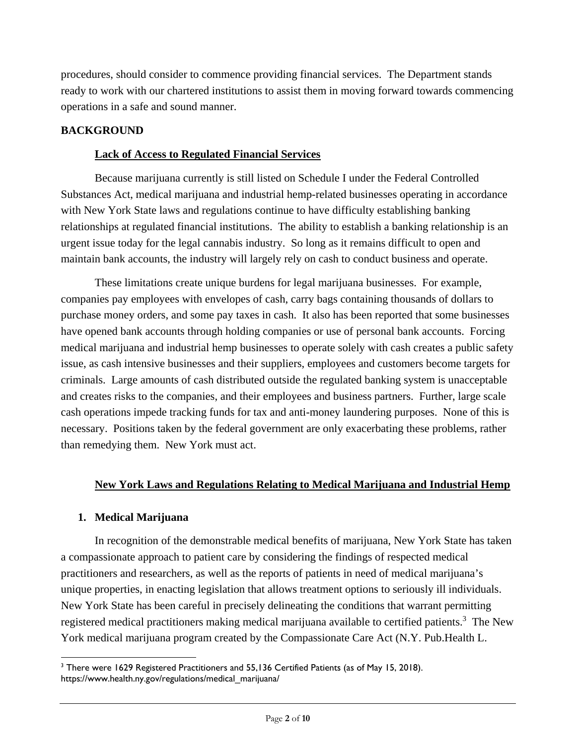procedures, should consider to commence providing financial services. The Department stands ready to work with our chartered institutions to assist them in moving forward towards commencing operations in a safe and sound manner.

## **BACKGROUND**

#### **Lack of Access to Regulated Financial Services**

 Because marijuana currently is still listed on Schedule I under the Federal Controlled Substances Act, medical marijuana and industrial hemp-related businesses operating in accordance with New York State laws and regulations continue to have difficulty establishing banking relationships at regulated financial institutions. The ability to establish a banking relationship is an urgent issue today for the legal cannabis industry. So long as it remains difficult to open and maintain bank accounts, the industry will largely rely on cash to conduct business and operate.

 These limitations create unique burdens for legal marijuana businesses. For example, companies pay employees with envelopes of cash, carry bags containing thousands of dollars to purchase money orders, and some pay taxes in cash. It also has been reported that some businesses have opened bank accounts through holding companies or use of personal bank accounts. Forcing medical marijuana and industrial hemp businesses to operate solely with cash creates a public safety issue, as cash intensive businesses and their suppliers, employees and customers become targets for criminals. Large amounts of cash distributed outside the regulated banking system is unacceptable and creates risks to the companies, and their employees and business partners. Further, large scale cash operations impede tracking funds for tax and anti-money laundering purposes. None of this is necessary. Positions taken by the federal government are only exacerbating these problems, rather than remedying them. New York must act.

### **New York Laws and Regulations Relating to Medical Marijuana and Industrial Hemp**

### **1. Medical Marijuana**

 In recognition of the demonstrable medical benefits of marijuana, New York State has taken a compassionate approach to patient care by considering the findings of respected medical practitioners and researchers, as well as the reports of patients in need of medical marijuana's unique properties, in enacting legislation that allows treatment options to seriously ill individuals. New York State has been careful in precisely delineating the conditions that warrant permitting registered medical practitioners making medical marijuana available to certified patients.<sup>3</sup> The New York medical marijuana program created by the Compassionate Care Act (N.Y. Pub.Health L.

 $3$  There were 1629 Registered Practitioners and 55,136 Certified Patients (as of May 15, 2018). https://www.health.ny.gov/regulations/medical\_marijuana/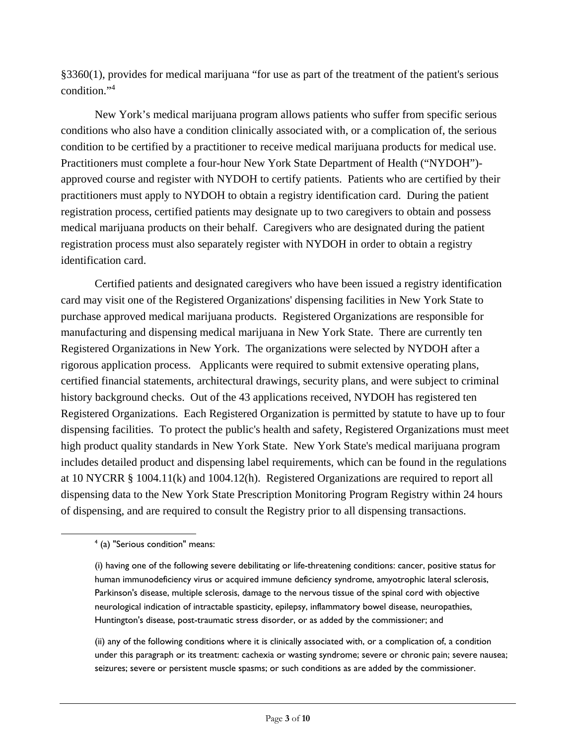§3360(1), provides for medical marijuana "for use as part of the treatment of the patient's serious condition."4

 New York's medical marijuana program allows patients who suffer from specific serious conditions who also have a condition clinically associated with, or a complication of, the serious condition to be certified by a practitioner to receive medical marijuana products for medical use. Practitioners must complete a four-hour New York State Department of Health ("NYDOH") approved course and register with NYDOH to certify patients. Patients who are certified by their practitioners must apply to NYDOH to obtain a registry identification card. During the patient registration process, certified patients may designate up to two caregivers to obtain and possess medical marijuana products on their behalf. Caregivers who are designated during the patient registration process must also separately register with NYDOH in order to obtain a registry identification card.

 Certified patients and designated caregivers who have been issued a registry identification card may visit one of the Registered Organizations' dispensing facilities in New York State to purchase approved medical marijuana products. Registered Organizations are responsible for manufacturing and dispensing medical marijuana in New York State. There are currently ten Registered Organizations in New York. The organizations were selected by NYDOH after a rigorous application process. Applicants were required to submit extensive operating plans, certified financial statements, architectural drawings, security plans, and were subject to criminal history background checks. Out of the 43 applications received, NYDOH has registered ten Registered Organizations. Each Registered Organization is permitted by statute to have up to four dispensing facilities. To protect the public's health and safety, Registered Organizations must meet high product quality standards in New York State. New York State's medical marijuana program includes detailed product and dispensing label requirements, which can be found in the regulations at 10 NYCRR § 1004.11(k) and 1004.12(h). Registered Organizations are required to report all dispensing data to the New York State Prescription Monitoring Program Registry within 24 hours of dispensing, and are required to consult the Registry prior to all dispensing transactions.

(ii) any of the following conditions where it is clinically associated with, or a complication of, a condition under this paragraph or its treatment: cachexia or wasting syndrome; severe or chronic pain; severe nausea; seizures; severe or persistent muscle spasms; or such conditions as are added by the commissioner.

 $\overline{\phantom{a}}$ <sup>4</sup> (a) "Serious condition" means:

<sup>(</sup>i) having one of the following severe debilitating or life-threatening conditions: cancer, positive status for human immunodeficiency virus or acquired immune deficiency syndrome, amyotrophic lateral sclerosis, Parkinson's disease, multiple sclerosis, damage to the nervous tissue of the spinal cord with objective neurological indication of intractable spasticity, epilepsy, inflammatory bowel disease, neuropathies, Huntington's disease, post-traumatic stress disorder, or as added by the commissioner; and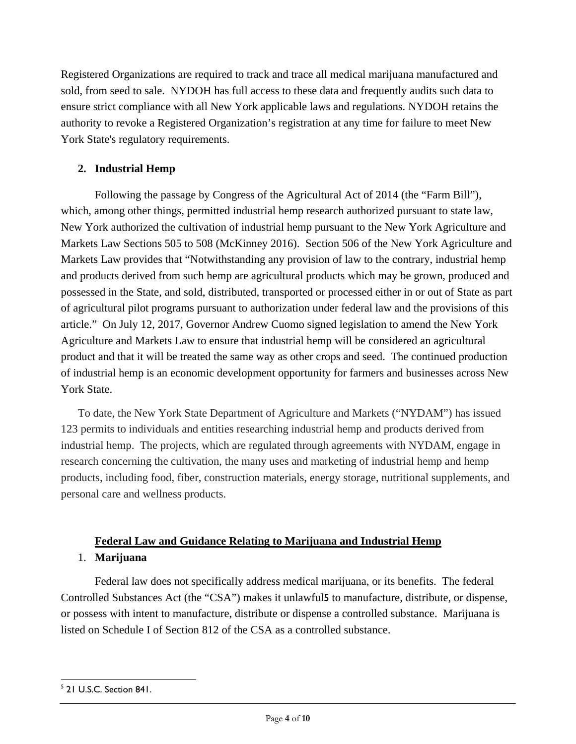Registered Organizations are required to track and trace all medical marijuana manufactured and sold, from seed to sale. NYDOH has full access to these data and frequently audits such data to ensure strict compliance with all New York applicable laws and regulations. NYDOH retains the authority to revoke a Registered Organization's registration at any time for failure to meet New York State's regulatory requirements.

## **2. Industrial Hemp**

 Following the passage by Congress of the Agricultural Act of 2014 (the "Farm Bill"), which, among other things, permitted industrial hemp research authorized pursuant to state law, New York authorized the cultivation of industrial hemp pursuant to the New York Agriculture and Markets Law Sections 505 to 508 (McKinney 2016). Section 506 of the New York Agriculture and Markets Law provides that "Notwithstanding any provision of law to the contrary, industrial hemp and products derived from such hemp are agricultural products which may be grown, produced and possessed in the State, and sold, distributed, transported or processed either in or out of State as part of agricultural pilot programs pursuant to authorization under federal law and the provisions of this article." On July 12, 2017, Governor Andrew Cuomo signed legislation to amend the New York Agriculture and Markets Law to ensure that industrial hemp will be considered an agricultural product and that it will be treated the same way as other crops and seed. The continued production of industrial hemp is an economic development opportunity for farmers and businesses across New York State.

To date, the New York State Department of Agriculture and Markets ("NYDAM") has issued 123 permits to individuals and entities researching industrial hemp and products derived from industrial hemp. The projects, which are regulated through agreements with NYDAM, engage in research concerning the cultivation, the many uses and marketing of industrial hemp and hemp products, including food, fiber, construction materials, energy storage, nutritional supplements, and personal care and wellness products.

# **Federal Law and Guidance Relating to Marijuana and Industrial Hemp** 1. **Marijuana**

Federal law does not specifically address medical marijuana, or its benefits. The federal Controlled Substances Act (the "CSA") makes it unlawful5 to manufacture, distribute, or dispense, or possess with intent to manufacture, distribute or dispense a controlled substance. Marijuana is listed on Schedule I of Section 812 of the CSA as a controlled substance.

 5 21 U.S.C. Section 841.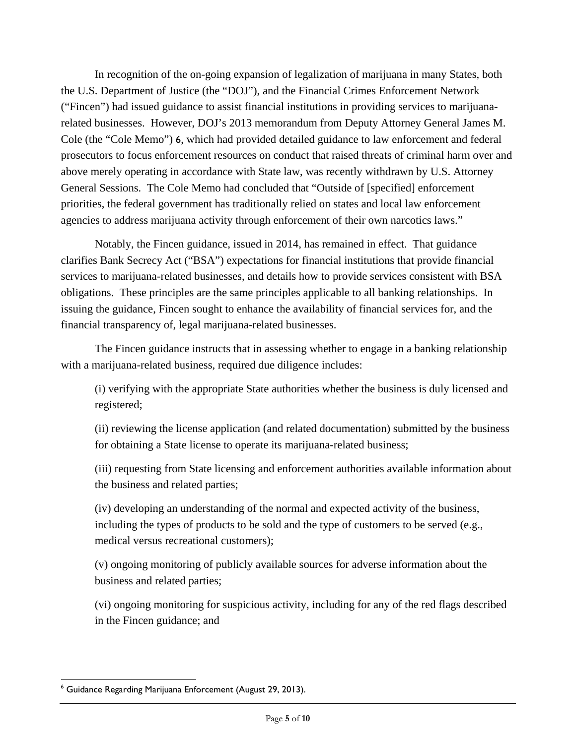In recognition of the on-going expansion of legalization of marijuana in many States, both the U.S. Department of Justice (the "DOJ"), and the Financial Crimes Enforcement Network ("Fincen") had issued guidance to assist financial institutions in providing services to marijuanarelated businesses. However, DOJ's 2013 memorandum from Deputy Attorney General James M. Cole (the "Cole Memo") 6, which had provided detailed guidance to law enforcement and federal prosecutors to focus enforcement resources on conduct that raised threats of criminal harm over and above merely operating in accordance with State law, was recently withdrawn by U.S. Attorney General Sessions. The Cole Memo had concluded that "Outside of [specified] enforcement priorities, the federal government has traditionally relied on states and local law enforcement agencies to address marijuana activity through enforcement of their own narcotics laws."

 Notably, the Fincen guidance, issued in 2014, has remained in effect. That guidance clarifies Bank Secrecy Act ("BSA") expectations for financial institutions that provide financial services to marijuana-related businesses, and details how to provide services consistent with BSA obligations. These principles are the same principles applicable to all banking relationships. In issuing the guidance, Fincen sought to enhance the availability of financial services for, and the financial transparency of, legal marijuana-related businesses.

 The Fincen guidance instructs that in assessing whether to engage in a banking relationship with a marijuana-related business, required due diligence includes:

(i) verifying with the appropriate State authorities whether the business is duly licensed and registered;

(ii) reviewing the license application (and related documentation) submitted by the business for obtaining a State license to operate its marijuana-related business;

(iii) requesting from State licensing and enforcement authorities available information about the business and related parties;

(iv) developing an understanding of the normal and expected activity of the business, including the types of products to be sold and the type of customers to be served (e.g., medical versus recreational customers);

(v) ongoing monitoring of publicly available sources for adverse information about the business and related parties;

(vi) ongoing monitoring for suspicious activity, including for any of the red flags described in the Fincen guidance; and

<sup>6</sup> Guidance Regarding Marijuana Enforcement (August 29, 2013).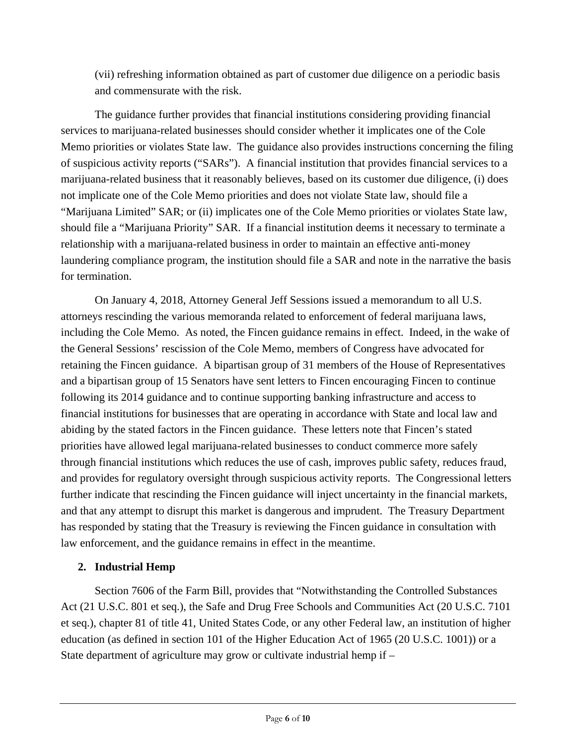(vii) refreshing information obtained as part of customer due diligence on a periodic basis and commensurate with the risk.

 The guidance further provides that financial institutions considering providing financial services to marijuana-related businesses should consider whether it implicates one of the Cole Memo priorities or violates State law. The guidance also provides instructions concerning the filing of suspicious activity reports ("SARs"). A financial institution that provides financial services to a marijuana-related business that it reasonably believes, based on its customer due diligence, (i) does not implicate one of the Cole Memo priorities and does not violate State law, should file a "Marijuana Limited" SAR; or (ii) implicates one of the Cole Memo priorities or violates State law, should file a "Marijuana Priority" SAR. If a financial institution deems it necessary to terminate a relationship with a marijuana-related business in order to maintain an effective anti-money laundering compliance program, the institution should file a SAR and note in the narrative the basis for termination.

 On January 4, 2018, Attorney General Jeff Sessions issued a memorandum to all U.S. attorneys rescinding the various memoranda related to enforcement of federal marijuana laws, including the Cole Memo. As noted, the Fincen guidance remains in effect. Indeed, in the wake of the General Sessions' rescission of the Cole Memo, members of Congress have advocated for retaining the Fincen guidance. A bipartisan group of 31 members of the House of Representatives and a bipartisan group of 15 Senators have sent letters to Fincen encouraging Fincen to continue following its 2014 guidance and to continue supporting banking infrastructure and access to financial institutions for businesses that are operating in accordance with State and local law and abiding by the stated factors in the Fincen guidance. These letters note that Fincen's stated priorities have allowed legal marijuana-related businesses to conduct commerce more safely through financial institutions which reduces the use of cash, improves public safety, reduces fraud, and provides for regulatory oversight through suspicious activity reports. The Congressional letters further indicate that rescinding the Fincen guidance will inject uncertainty in the financial markets, and that any attempt to disrupt this market is dangerous and imprudent. The Treasury Department has responded by stating that the Treasury is reviewing the Fincen guidance in consultation with law enforcement, and the guidance remains in effect in the meantime.

## **2. Industrial Hemp**

 Section 7606 of the Farm Bill, provides that "Notwithstanding the Controlled Substances Act (21 U.S.C. 801 et seq.), the Safe and Drug Free Schools and Communities Act (20 U.S.C. 7101 et seq.), chapter 81 of title 41, United States Code, or any other Federal law, an institution of higher education (as defined in section 101 of the Higher Education Act of 1965 (20 U.S.C. 1001)) or a State department of agriculture may grow or cultivate industrial hemp if –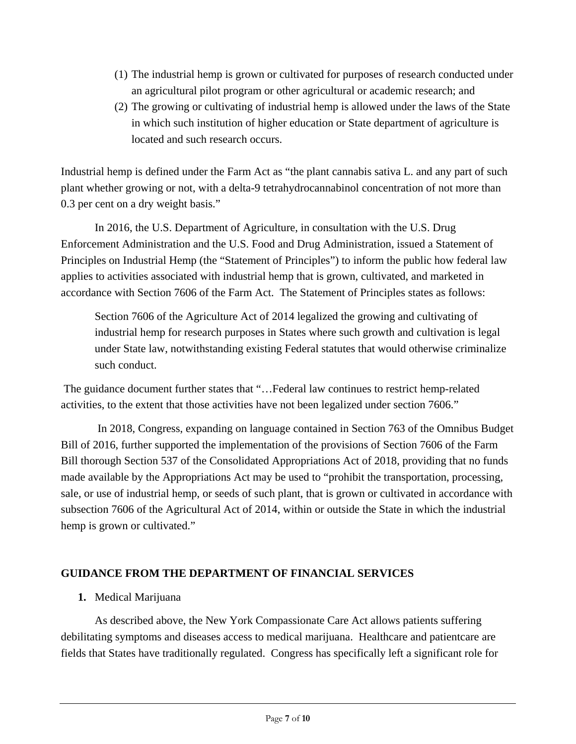- (1) The industrial hemp is grown or cultivated for purposes of research conducted under an agricultural pilot program or other agricultural or academic research; and
- (2) The growing or cultivating of industrial hemp is allowed under the laws of the State in which such institution of higher education or State department of agriculture is located and such research occurs.

Industrial hemp is defined under the Farm Act as "the plant cannabis sativa L. and any part of such plant whether growing or not, with a delta-9 tetrahydrocannabinol concentration of not more than 0.3 per cent on a dry weight basis."

In 2016, the U.S. Department of Agriculture, in consultation with the U.S. Drug Enforcement Administration and the U.S. Food and Drug Administration, issued a Statement of Principles on Industrial Hemp (the "Statement of Principles") to inform the public how federal law applies to activities associated with industrial hemp that is grown, cultivated, and marketed in accordance with Section 7606 of the Farm Act. The Statement of Principles states as follows:

Section 7606 of the Agriculture Act of 2014 legalized the growing and cultivating of industrial hemp for research purposes in States where such growth and cultivation is legal under State law, notwithstanding existing Federal statutes that would otherwise criminalize such conduct.

 The guidance document further states that "…Federal law continues to restrict hemp-related activities, to the extent that those activities have not been legalized under section 7606."

 In 2018, Congress, expanding on language contained in Section 763 of the Omnibus Budget Bill of 2016, further supported the implementation of the provisions of Section 7606 of the Farm Bill thorough Section 537 of the Consolidated Appropriations Act of 2018, providing that no funds made available by the Appropriations Act may be used to "prohibit the transportation, processing, sale, or use of industrial hemp, or seeds of such plant, that is grown or cultivated in accordance with subsection 7606 of the Agricultural Act of 2014, within or outside the State in which the industrial hemp is grown or cultivated."

## **GUIDANCE FROM THE DEPARTMENT OF FINANCIAL SERVICES**

### **1.** Medical Marijuana

 As described above, the New York Compassionate Care Act allows patients suffering debilitating symptoms and diseases access to medical marijuana. Healthcare and patientcare are fields that States have traditionally regulated. Congress has specifically left a significant role for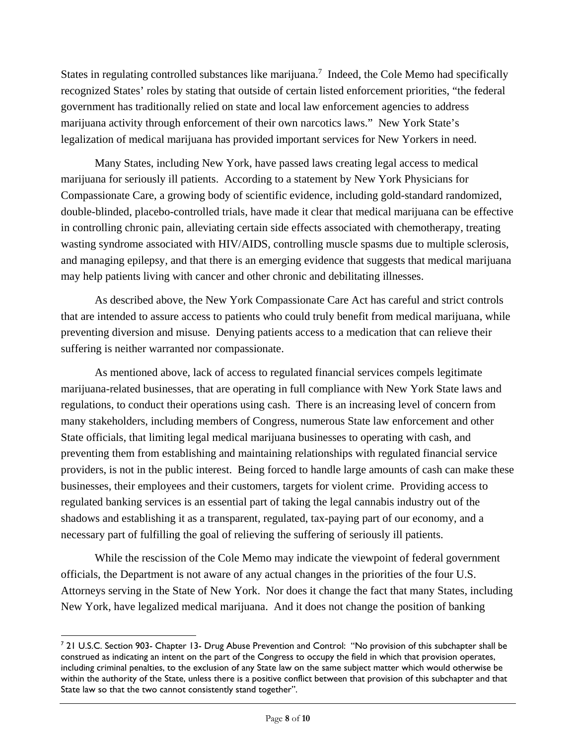States in regulating controlled substances like marijuana.<sup>7</sup> Indeed, the Cole Memo had specifically recognized States' roles by stating that outside of certain listed enforcement priorities, "the federal government has traditionally relied on state and local law enforcement agencies to address marijuana activity through enforcement of their own narcotics laws." New York State's legalization of medical marijuana has provided important services for New Yorkers in need.

Many States, including New York, have passed laws creating legal access to medical marijuana for seriously ill patients. According to a statement by New York Physicians for Compassionate Care, a growing body of scientific evidence, including gold-standard randomized, double-blinded, placebo-controlled trials, have made it clear that medical marijuana can be effective in controlling chronic pain, alleviating certain side effects associated with chemotherapy, treating wasting syndrome associated with HIV/AIDS, controlling muscle spasms due to multiple sclerosis, and managing epilepsy, and that there is an emerging evidence that suggests that medical marijuana may help patients living with cancer and other chronic and debilitating illnesses.

 As described above, the New York Compassionate Care Act has careful and strict controls that are intended to assure access to patients who could truly benefit from medical marijuana, while preventing diversion and misuse. Denying patients access to a medication that can relieve their suffering is neither warranted nor compassionate.

As mentioned above, lack of access to regulated financial services compels legitimate marijuana-related businesses, that are operating in full compliance with New York State laws and regulations, to conduct their operations using cash. There is an increasing level of concern from many stakeholders, including members of Congress, numerous State law enforcement and other State officials, that limiting legal medical marijuana businesses to operating with cash, and preventing them from establishing and maintaining relationships with regulated financial service providers, is not in the public interest. Being forced to handle large amounts of cash can make these businesses, their employees and their customers, targets for violent crime. Providing access to regulated banking services is an essential part of taking the legal cannabis industry out of the shadows and establishing it as a transparent, regulated, tax-paying part of our economy, and a necessary part of fulfilling the goal of relieving the suffering of seriously ill patients.

While the rescission of the Cole Memo may indicate the viewpoint of federal government officials, the Department is not aware of any actual changes in the priorities of the four U.S. Attorneys serving in the State of New York. Nor does it change the fact that many States, including New York, have legalized medical marijuana. And it does not change the position of banking

<sup>&</sup>lt;sup>7</sup> 21 U.S.C. Section 903- Chapter 13- Drug Abuse Prevention and Control: "No provision of this subchapter shall be construed as indicating an intent on the part of the Congress to occupy the field in which that provision operates, including criminal penalties, to the exclusion of any State law on the same subject matter which would otherwise be within the authority of the State, unless there is a positive conflict between that provision of this subchapter and that State law so that the two cannot consistently stand together".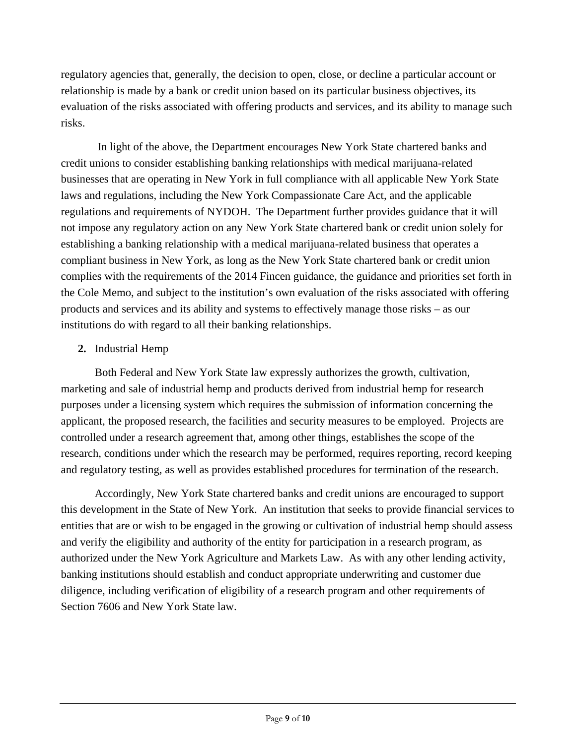regulatory agencies that, generally, the decision to open, close, or decline a particular account or relationship is made by a bank or credit union based on its particular business objectives, its evaluation of the risks associated with offering products and services, and its ability to manage such risks.

 In light of the above, the Department encourages New York State chartered banks and credit unions to consider establishing banking relationships with medical marijuana-related businesses that are operating in New York in full compliance with all applicable New York State laws and regulations, including the New York Compassionate Care Act, and the applicable regulations and requirements of NYDOH. The Department further provides guidance that it will not impose any regulatory action on any New York State chartered bank or credit union solely for establishing a banking relationship with a medical marijuana-related business that operates a compliant business in New York, as long as the New York State chartered bank or credit union complies with the requirements of the 2014 Fincen guidance, the guidance and priorities set forth in the Cole Memo, and subject to the institution's own evaluation of the risks associated with offering products and services and its ability and systems to effectively manage those risks – as our institutions do with regard to all their banking relationships.

## **2.** Industrial Hemp

 Both Federal and New York State law expressly authorizes the growth, cultivation, marketing and sale of industrial hemp and products derived from industrial hemp for research purposes under a licensing system which requires the submission of information concerning the applicant, the proposed research, the facilities and security measures to be employed. Projects are controlled under a research agreement that, among other things, establishes the scope of the research, conditions under which the research may be performed, requires reporting, record keeping and regulatory testing, as well as provides established procedures for termination of the research.

Accordingly, New York State chartered banks and credit unions are encouraged to support this development in the State of New York. An institution that seeks to provide financial services to entities that are or wish to be engaged in the growing or cultivation of industrial hemp should assess and verify the eligibility and authority of the entity for participation in a research program, as authorized under the New York Agriculture and Markets Law. As with any other lending activity, banking institutions should establish and conduct appropriate underwriting and customer due diligence, including verification of eligibility of a research program and other requirements of Section 7606 and New York State law.